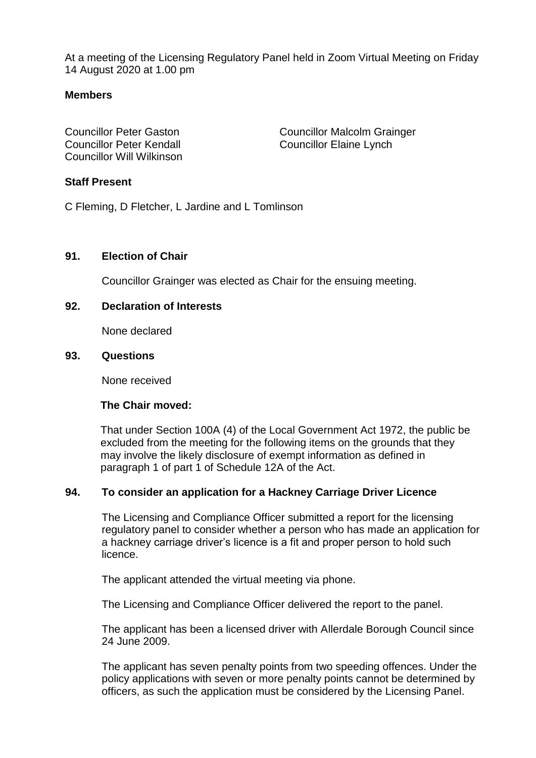At a meeting of the Licensing Regulatory Panel held in Zoom Virtual Meeting on Friday 14 August 2020 at 1.00 pm

# **Members**

Councillor Peter Kendall Councillor Elaine Lynch Councillor Will Wilkinson

Councillor Peter Gaston Councillor Malcolm Grainger

## **Staff Present**

C Fleming, D Fletcher, L Jardine and L Tomlinson

## **91. Election of Chair**

Councillor Grainger was elected as Chair for the ensuing meeting.

## **92. Declaration of Interests**

None declared

#### **93. Questions**

None received

## **The Chair moved:**

That under Section 100A (4) of the Local Government Act 1972, the public be excluded from the meeting for the following items on the grounds that they may involve the likely disclosure of exempt information as defined in paragraph 1 of part 1 of Schedule 12A of the Act.

# **94. To consider an application for a Hackney Carriage Driver Licence**

The Licensing and Compliance Officer submitted a report for the licensing regulatory panel to consider whether a person who has made an application for a hackney carriage driver's licence is a fit and proper person to hold such licence.

The applicant attended the virtual meeting via phone.

The Licensing and Compliance Officer delivered the report to the panel.

The applicant has been a licensed driver with Allerdale Borough Council since 24 June 2009.

The applicant has seven penalty points from two speeding offences. Under the policy applications with seven or more penalty points cannot be determined by officers, as such the application must be considered by the Licensing Panel.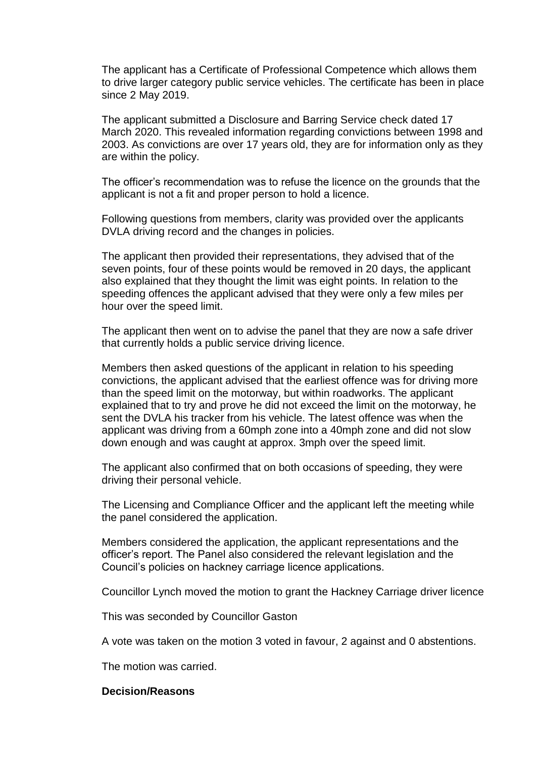The applicant has a Certificate of Professional Competence which allows them to drive larger category public service vehicles. The certificate has been in place since 2 May 2019.

The applicant submitted a Disclosure and Barring Service check dated 17 March 2020. This revealed information regarding convictions between 1998 and 2003. As convictions are over 17 years old, they are for information only as they are within the policy.

The officer's recommendation was to refuse the licence on the grounds that the applicant is not a fit and proper person to hold a licence.

Following questions from members, clarity was provided over the applicants DVLA driving record and the changes in policies.

The applicant then provided their representations, they advised that of the seven points, four of these points would be removed in 20 days, the applicant also explained that they thought the limit was eight points. In relation to the speeding offences the applicant advised that they were only a few miles per hour over the speed limit.

The applicant then went on to advise the panel that they are now a safe driver that currently holds a public service driving licence.

Members then asked questions of the applicant in relation to his speeding convictions, the applicant advised that the earliest offence was for driving more than the speed limit on the motorway, but within roadworks. The applicant explained that to try and prove he did not exceed the limit on the motorway, he sent the DVLA his tracker from his vehicle. The latest offence was when the applicant was driving from a 60mph zone into a 40mph zone and did not slow down enough and was caught at approx. 3mph over the speed limit.

The applicant also confirmed that on both occasions of speeding, they were driving their personal vehicle.

The Licensing and Compliance Officer and the applicant left the meeting while the panel considered the application.

Members considered the application, the applicant representations and the officer's report. The Panel also considered the relevant legislation and the Council's policies on hackney carriage licence applications.

Councillor Lynch moved the motion to grant the Hackney Carriage driver licence

This was seconded by Councillor Gaston

A vote was taken on the motion 3 voted in favour, 2 against and 0 abstentions.

The motion was carried.

## **Decision/Reasons**